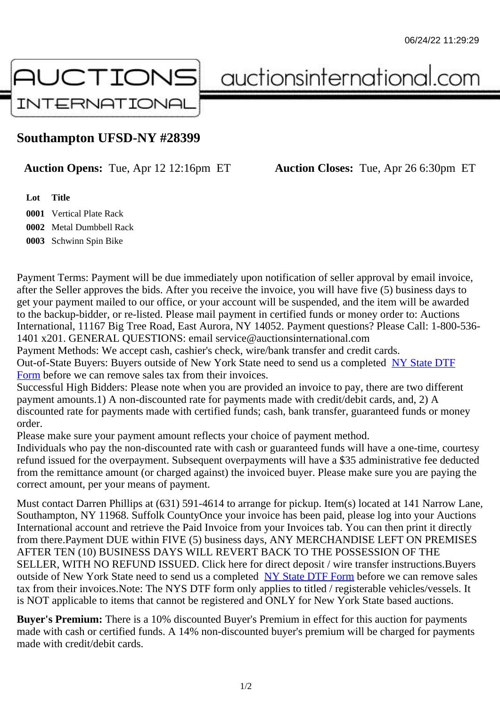## Southampton UFSD-NY #28399

## Auction Opens: Tue, Apr 12 12:16pm ET Auction Closes: Tue, Apr 26 6:30pm ET

Lot Title Vertical Plate Rack Metal Dumbbell Rack Schwinn Spin Bike

Payment Terms: Payment will be due immediately upon notification of seller approval by email invoice, after the Seller approves the bids. After you receive the invoice, you will have five (5) business days to get your payment mailed to our office, or your account will be suspended, and the item will be awarded to the backup-bidder, or re-listed. Please mail payment in certified funds or money order to: Auctions International, 11167 Big Tree Road, East Aurora, NY 14052. Payment questions? Please Call: 1-800-53 1401 x201. GENERAL QUESTIONS: email service@auctionsinternational.com

Payment Methods: We accept cash, cashier's check, wire/bank transfer and credit cards. Out-of-State Buyers: Buyers outside of New York State need to send us a com blestate DTF Form before we can remove sales tax from their invoices.

Successful High Bidders: Please note when you are provided an invoice to pay, there are two different payment amounts.1) A non-discounted rate for payments made with credit/de[bit cards, and](https://www.auctionsinternational.com/auxiliary/downloads/DTF_Form/dtf_fill_in.pdf), 2) A [disco](https://www.auctionsinternational.com/auxiliary/downloads/DTF_Form/dtf_fill_in.pdf)unted rate for payments made with certified funds; cash, bank transfer, quaranteed funds or mone order.

Please make sure your payment amount reflects your choice of payment method.

Individuals who pay the non-discounted rate with cash or quaranteed funds will have a one-time, courte refund issued for the overpayment. Subsequent overpayments will have a \$35 administrative fee deduc from the remittance amount (or charged against) the invoiced buyer. Please make sure you are paying correct amount, per your means of payment.

Must contact Darren Phillips at (631) 591-4614 to arrange for pickup. Item(s) located at 141 Narrow Lar Southampton, NY 11968. Suffolk CountyOnce your invoice has been paid, please log into your Auction International account and retrieve the Paid Invoice from your Invoices tab. You can then print it directly from there.Payment DUE within FIVE (5) business days, ANY MERCHANDISE LEFT ON PREMISES AFTER TEN (10) BUSINESS DAYS WILL REVERT BACK TO THE POSSESSION OF THE SELLER, WITH NO REFUND ISSUED. Click here for direct deposit / wire transfer instructions.Buyers outside of New York State need to send us a complete **State DTF Form before we can remove sales** tax from their invoices.Note: The NYS DTF form only applies to titled / registerable vehicles/vessels. It is NOT applicable to items that cannot be registered and ONLY for New York State based auctions.

Buyer's Premium: There is a 10% discounted Buye[r's Premium in effec](https://www.auctionsinternational.com/auxiliary/downloads/DTF_Form/dtf_fill_in.pdf)t for this auction for payments made with cash or certified funds. A 14% non-discounted buyer's premium will be charged for payments made with credit/debit cards.